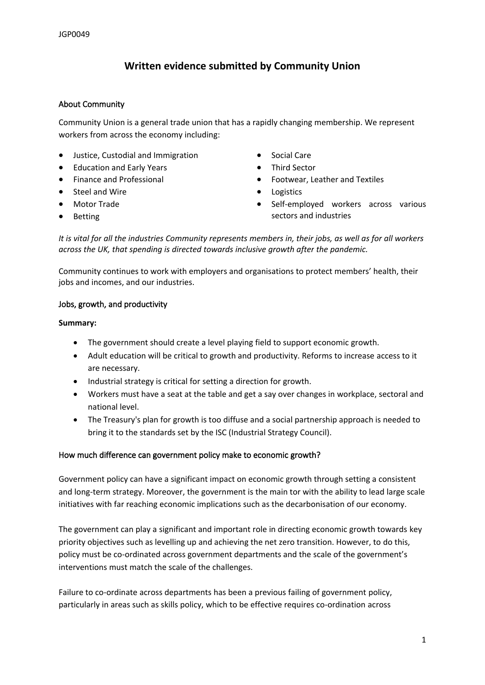# **Written evidence submitted by Community Union**

### **About Community**

Community Union is a general trade union that has a rapidly changing membership. We represent workers from across the economy including:

- Justice, Custodial and Immigration
- Education and Early Years
- Finance and Professional
- Steel and Wire
- Motor Trade
- Betting
- Social Care
- **•** Third Sector
- Footwear, Leather and Textiles
- Logistics
- Self-employed workers across various sectors and industries

It is vital for all the industries Community represents members in, their jobs, as well as for all workers *across the UK, that spending is directed towards inclusive growth after the pandemic.*

Community continues to work with employers and organisations to protect members' health, their jobs and incomes, and our industries.

### **Jobs, growth, and productivity**

#### **Summary:**

- The government should create a level playing field to support economic growth.
- Adult education will be critical to growth and productivity. Reforms to increase access to it are necessary.
- Industrial strategy is critical for setting a direction for growth.
- Workers must have a seat at the table and get a say over changes in workplace, sectoral and national level.
- The Treasury's plan for growth is too diffuse and a social partnership approach is needed to bring it to the standards set by the ISC (Industrial Strategy Council).

#### **How much difference can government policy make to economic growth?**

Government policy can have a significant impact on economic growth through setting a consistent and long-term strategy. Moreover, the government is the main tor with the ability to lead large scale initiatives with far reaching economic implications such as the decarbonisation of our economy.

The government can play a significant and important role in directing economic growth towards key priority objectives such as levelling up and achieving the net zero transition. However, to do this, policy must be co-ordinated across government departments and the scale of the government's interventions must match the scale of the challenges.

Failure to co-ordinate across departments has been a previous failing of government policy, particularly in areas such as skills policy, which to be effective requires co-ordination across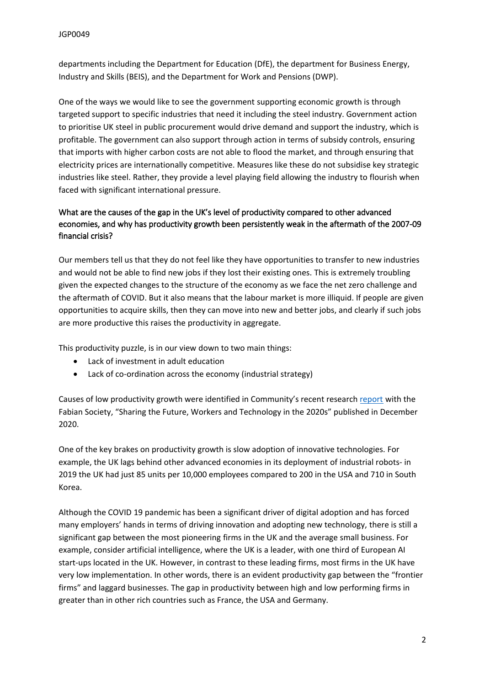departments including the Department for Education (DfE), the department for Business Energy, Industry and Skills (BEIS), and the Department for Work and Pensions (DWP).

One of the ways we would like to see the government supporting economic growth is through targeted support to specific industries that need it including the steel industry. Government action to prioritise UK steel in public procurement would drive demand and support the industry, which is profitable. The government can also support through action in terms of subsidy controls, ensuring that imports with higher carbon costs are not able to flood the market, and through ensuring that electricity prices are internationally competitive. Measures like these do not subsidise key strategic industries like steel. Rather, they provide a level playing field allowing the industry to flourish when faced with significant international pressure.

# **What are the causes of the gap in the UK's level of productivity compared to other advanced economies, and why has productivity growth been persistently weak in the aftermath of the 2007-09 financial crisis?**

Our members tell us that they do not feel like they have opportunities to transfer to new industries and would not be able to find new jobs if they lost their existing ones. This is extremely troubling given the expected changes to the structure of the economy as we face the net zero challenge and the aftermath of COVID. But it also means that the labour market is more illiquid. If people are given opportunities to acquire skills, then they can move into new and better jobs, and clearly if such jobs are more productive this raises the productivity in aggregate.

This productivity puzzle, is in our view down to two main things:

- Lack of investment in adult education
- Lack of co-ordination across the economy (industrial strategy)

Causes of low productivity growth were identified in Community's recent research [report](https://changingworkcentre.wordpress.com/) with the Fabian Society, "Sharing the Future, Workers and Technology in the 2020s" published in December 2020.

One of the key brakes on productivity growth is slow adoption of innovative technologies. For example, the UK lags behind other advanced economies in its deployment of industrial robots- in 2019 the UK had just 85 units per 10,000 employees compared to 200 in the USA and 710 in South Korea.

Although the COVID 19 pandemic has been a significant driver of digital adoption and has forced many employers' hands in terms of driving innovation and adopting new technology, there is still a significant gap between the most pioneering firms in the UK and the average small business. For example, consider artificial intelligence, where the UK is a leader, with one third of European AI start-ups located in the UK. However, in contrast to these leading firms, most firms in the UK have very low implementation. In other words, there is an evident productivity gap between the "frontier firms" and laggard businesses. The gap in productivity between high and low performing firms in greater than in other rich countries such as France, the USA and Germany.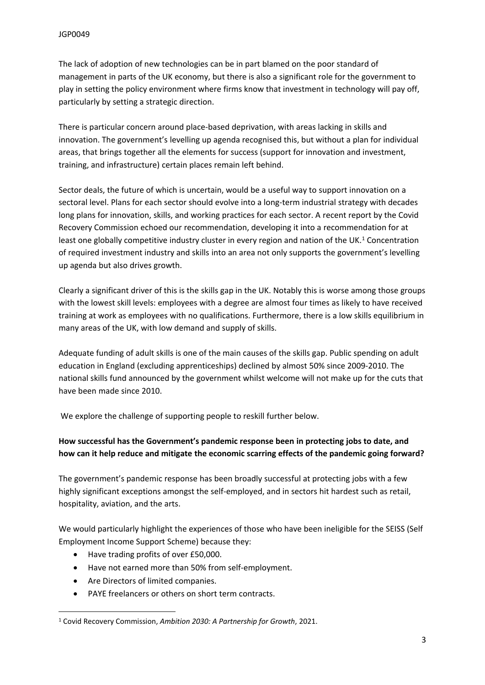The lack of adoption of new technologies can be in part blamed on the poor standard of management in parts of the UK economy, but there is also a significant role for the government to play in setting the policy environment where firms know that investment in technology will pay off, particularly by setting a strategic direction.

There is particular concern around place-based deprivation, with areas lacking in skills and innovation. The government's levelling up agenda recognised this, but without a plan for individual areas, that brings together all the elements for success (support for innovation and investment, training, and infrastructure) certain places remain left behind.

Sector deals, the future of which is uncertain, would be a useful way to support innovation on a sectoral level. Plans for each sector should evolve into a long-term industrial strategy with decades long plans for innovation, skills, and working practices for each sector. A recent report by the Covid Recovery Commission echoed our recommendation, developing it into a recommendation for at least one globally competitive industry cluster in every region and nation of the UK.<sup>1</sup> Concentration of required investment industry and skills into an area not only supports the government's levelling up agenda but also drives growth.

Clearly a significant driver of this is the skills gap in the UK. Notably this is worse among those groups with the lowest skill levels: employees with a degree are almost four times as likely to have received training at work as employees with no qualifications. Furthermore, there is a low skills equilibrium in many areas of the UK, with low demand and supply of skills.

Adequate funding of adult skills is one of the main causes of the skills gap. Public spending on adult education in England (excluding apprenticeships) declined by almost 50% since 2009-2010. The national skills fund announced by the government whilst welcome will not make up for the cuts that have been made since 2010.

We explore the challenge of supporting people to reskill further below.

# **How successful has the Government's pandemic response been in protecting jobs to date, and how can it help reduce and mitigate the economic scarring effects of the pandemic going forward?**

The government's pandemic response has been broadly successful at protecting jobs with a few highly significant exceptions amongst the self-employed, and in sectors hit hardest such as retail, hospitality, aviation, and the arts.

We would particularly highlight the experiences of those who have been ineligible for the SEISS (Self Employment Income Support Scheme) because they:

- Have trading profits of over £50,000.
- Have not earned more than 50% from self-employment.
- Are Directors of limited companies.
- PAYE freelancers or others on short term contracts.

<sup>1</sup> Covid Recovery Commission, *Ambition 2030: A Partnership for Growth*, 2021.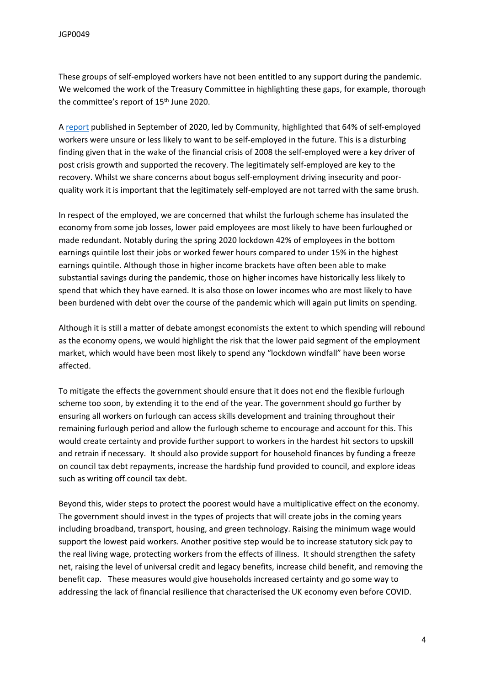These groups of self-employed workers have not been entitled to any support during the pandemic. We welcomed the work of the Treasury Committee in highlighting these gaps, for example, thorough the committee's report of 15<sup>th</sup> June 2020.

A [report](https://community-tu.org/wp-content/uploads/2021/02/Inquiry-into-the-future-of-self-employment-REPORT.pdf) published in September of 2020, led by Community, highlighted that 64% of self-employed workers were unsure or less likely to want to be self-employed in the future. This is a disturbing finding given that in the wake of the financial crisis of 2008 the self-employed were a key driver of post crisis growth and supported the recovery. The legitimately self-employed are key to the recovery. Whilst we share concerns about bogus self-employment driving insecurity and poorquality work it is important that the legitimately self-employed are not tarred with the same brush.

In respect of the employed, we are concerned that whilst the furlough scheme has insulated the economy from some job losses, lower paid employees are most likely to have been furloughed or made redundant. Notably during the spring 2020 lockdown 42% of employees in the bottom earnings quintile lost their jobs or worked fewer hours compared to under 15% in the highest earnings quintile. Although those in higher income brackets have often been able to make substantial savings during the pandemic, those on higher incomes have historically less likely to spend that which they have earned. It is also those on lower incomes who are most likely to have been burdened with debt over the course of the pandemic which will again put limits on spending.

Although it is still a matter of debate amongst economists the extent to which spending will rebound as the economy opens, we would highlight the risk that the lower paid segment of the employment market, which would have been most likely to spend any "lockdown windfall" have been worse affected.

To mitigate the effects the government should ensure that it does not end the flexible furlough scheme too soon, by extending it to the end of the year. The government should go further by ensuring all workers on furlough can access skills development and training throughout their remaining furlough period and allow the furlough scheme to encourage and account for this. This would create certainty and provide further support to workers in the hardest hit sectors to upskill and retrain if necessary. It should also provide support for household finances by funding a freeze on council tax debt repayments, increase the hardship fund provided to council, and explore ideas such as writing off council tax debt.

Beyond this, wider steps to protect the poorest would have a multiplicative effect on the economy. The government should invest in the types of projects that will create jobs in the coming years including broadband, transport, housing, and green technology. Raising the minimum wage would support the lowest paid workers. Another positive step would be to increase statutory sick pay to the real living wage, protecting workers from the effects of illness. It should strengthen the safety net, raising the level of universal credit and legacy benefits, increase child benefit, and removing the benefit cap. These measures would give households increased certainty and go some way to addressing the lack of financial resilience that characterised the UK economy even before COVID.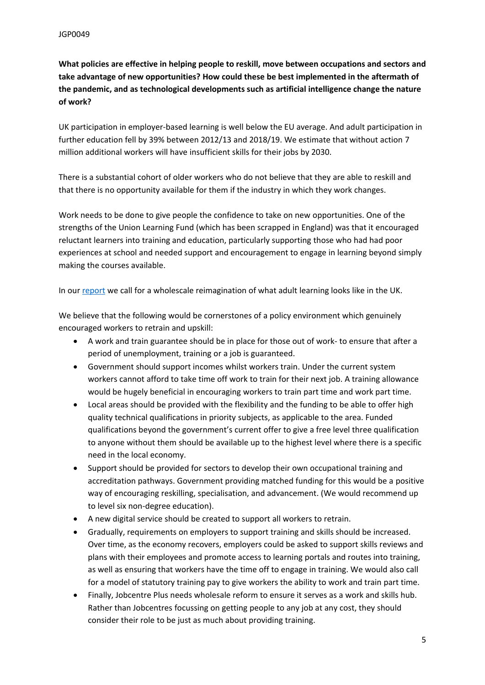**What policies are effective in helping people to reskill, move between occupations and sectors and take advantage of new opportunities? How could these be best implemented in the aftermath of the pandemic, and as technological developments such as artificial intelligence change the nature of work?**

UK participation in employer-based learning is well below the EU average. And adult participation in further education fell by 39% between 2012/13 and 2018/19. We estimate that without action 7 million additional workers will have insufficient skills for their jobs by 2030.

There is a substantial cohort of older workers who do not believe that they are able to reskill and that there is no opportunity available for them if the industry in which they work changes.

Work needs to be done to give people the confidence to take on new opportunities. One of the strengths of the Union Learning Fund (which has been scrapped in England) was that it encouraged reluctant learners into training and education, particularly supporting those who had had poor experiences at school and needed support and encouragement to engage in learning beyond simply making the courses available.

In our [report](https://changingworkcentre.wordpress.com/) we call for a wholescale reimagination of what adult learning looks like in the UK.

We believe that the following would be cornerstones of a policy environment which genuinely encouraged workers to retrain and upskill:

- A work and train guarantee should be in place for those out of work- to ensure that after a period of unemployment, training or a job is guaranteed.
- Government should support incomes whilst workers train. Under the current system workers cannot afford to take time off work to train for their next job. A training allowance would be hugely beneficial in encouraging workers to train part time and work part time.
- Local areas should be provided with the flexibility and the funding to be able to offer high quality technical qualifications in priority subjects, as applicable to the area. Funded qualifications beyond the government's current offer to give a free level three qualification to anyone without them should be available up to the highest level where there is a specific need in the local economy.
- Support should be provided for sectors to develop their own occupational training and accreditation pathways. Government providing matched funding for this would be a positive way of encouraging reskilling, specialisation, and advancement. (We would recommend up to level six non-degree education).
- A new digital service should be created to support all workers to retrain.
- Gradually, requirements on employers to support training and skills should be increased. Over time, as the economy recovers, employers could be asked to support skills reviews and plans with their employees and promote access to learning portals and routes into training, as well as ensuring that workers have the time off to engage in training. We would also call for a model of statutory training pay to give workers the ability to work and train part time.
- Finally, Jobcentre Plus needs wholesale reform to ensure it serves as a work and skills hub. Rather than Jobcentres focussing on getting people to any job at any cost, they should consider their role to be just as much about providing training.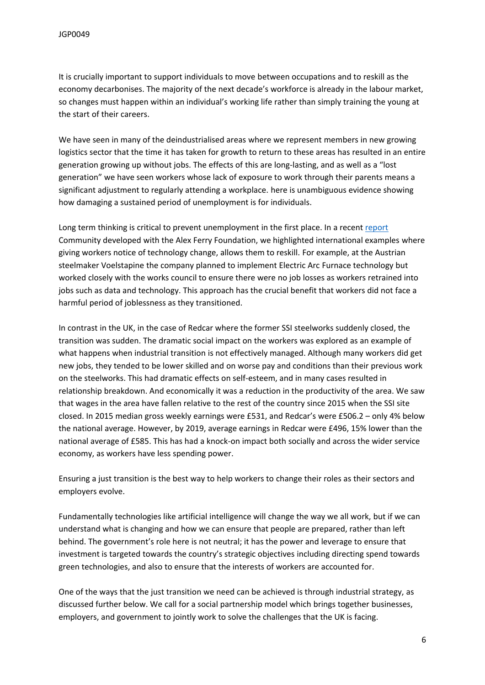It is crucially important to support individuals to move between occupations and to reskill as the economy decarbonises. The majority of the next decade's workforce is already in the labour market, so changes must happen within an individual's working life rather than simply training the young at the start of their careers.

We have seen in many of the deindustrialised areas where we represent members in new growing logistics sector that the time it has taken for growth to return to these areas has resulted in an entire generation growing up without jobs. The effects of this are long-lasting, and as well as a "lost generation" we have seen workers whose lack of exposure to work through their parents means a significant adjustment to regularly attending a workplace. here is unambiguous evidence showing how damaging a sustained period of unemployment is for individuals.

Long term thinking is critical to prevent unemployment in the first place. In a recent [report](https://community-tu.org/wp-content/uploads/2021/02/Just-Transition-Report.pdf) Community developed with the Alex Ferry Foundation, we highlighted international examples where giving workers notice of technology change, allows them to reskill. For example, at the Austrian steelmaker Voelstapine the company planned to implement Electric Arc Furnace technology but worked closely with the works council to ensure there were no job losses as workers retrained into jobs such as data and technology. This approach has the crucial benefit that workers did not face a harmful period of joblessness as they transitioned.

In contrast in the UK, in the case of Redcar where the former SSI steelworks suddenly closed, the transition was sudden. The dramatic social impact on the workers was explored as an example of what happens when industrial transition is not effectively managed. Although many workers did get new jobs, they tended to be lower skilled and on worse pay and conditions than their previous work on the steelworks. This had dramatic effects on self-esteem, and in many cases resulted in relationship breakdown. And economically it was a reduction in the productivity of the area. We saw that wages in the area have fallen relative to the rest of the country since 2015 when the SSI site closed. In 2015 median gross weekly earnings were £531, and Redcar's were £506.2 – only 4% below the national average. However, by 2019, average earnings in Redcar were £496, 15% lower than the national average of £585. This has had a knock-on impact both socially and across the wider service economy, as workers have less spending power.

Ensuring a just transition is the best way to help workers to change their roles as their sectors and employers evolve.

Fundamentally technologies like artificial intelligence will change the way we all work, but if we can understand what is changing and how we can ensure that people are prepared, rather than left behind. The government's role here is not neutral; it has the power and leverage to ensure that investment is targeted towards the country's strategic objectives including directing spend towards green technologies, and also to ensure that the interests of workers are accounted for.

One of the ways that the just transition we need can be achieved is through industrial strategy, as discussed further below. We call for a social partnership model which brings together businesses, employers, and government to jointly work to solve the challenges that the UK is facing.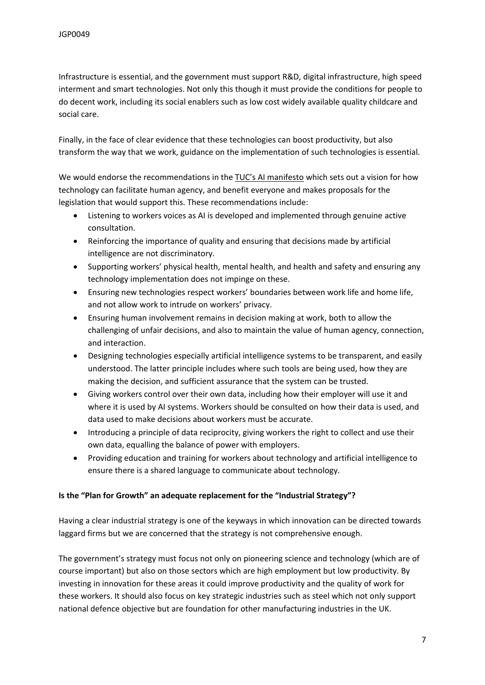Infrastructure is essential, and the government must support R&D, digital infrastructure, high speed interment and smart technologies. Not only this though it must provide the conditions for people to do decent work, including its social enablers such as low cost widely available quality childcare and social care.

Finally, in the face of clear evidence that these technologies can boost productivity, but also transform the way that we work, guidance on the implementation of such technologies is essential.

We would endorse the recommendations in the [TUC's](https://www.tuc.org.uk/sites/default/files/2021-03/The_AI_Revolution_20121_Manifesto_AW.pdf) [AI](https://www.tuc.org.uk/sites/default/files/2021-03/The_AI_Revolution_20121_Manifesto_AW.pdf) [manifesto](https://www.tuc.org.uk/sites/default/files/2021-03/The_AI_Revolution_20121_Manifesto_AW.pdf) which sets out a vision for how technology can facilitate human agency, and benefit everyone and makes proposals for the legislation that would support this. These recommendations include:

- Listening to workers voices as AI is developed and implemented through genuine active consultation.
- Reinforcing the importance of quality and ensuring that decisions made by artificial intelligence are not discriminatory.
- Supporting workers' physical health, mental health, and health and safety and ensuring any technology implementation does not impinge on these.
- Ensuring new technologies respect workers' boundaries between work life and home life, and not allow work to intrude on workers' privacy.
- Ensuring human involvement remains in decision making at work, both to allow the challenging of unfair decisions, and also to maintain the value of human agency, connection, and interaction.
- Designing technologies especially artificial intelligence systems to be transparent, and easily understood. The latter principle includes where such tools are being used, how they are making the decision, and sufficient assurance that the system can be trusted.
- Giving workers control over their own data, including how their employer will use it and where it is used by AI systems. Workers should be consulted on how their data is used, and data used to make decisions about workers must be accurate.
- Introducing a principle of data reciprocity, giving workers the right to collect and use their own data, equalling the balance of power with employers.
- Providing education and training for workers about technology and artificial intelligence to ensure there is a shared language to communicate about technology.

### **Is the "Plan for Growth" an adequate replacement for the "Industrial Strategy"?**

Having a clear industrial strategy is one of the keyways in which innovation can be directed towards laggard firms but we are concerned that the strategy is not comprehensive enough.

The government's strategy must focus not only on pioneering science and technology (which are of course important) but also on those sectors which are high employment but low productivity. By investing in innovation for these areas it could improve productivity and the quality of work for these workers. It should also focus on key strategic industries such as steel which not only support national defence objective but are foundation for other manufacturing industries in the UK.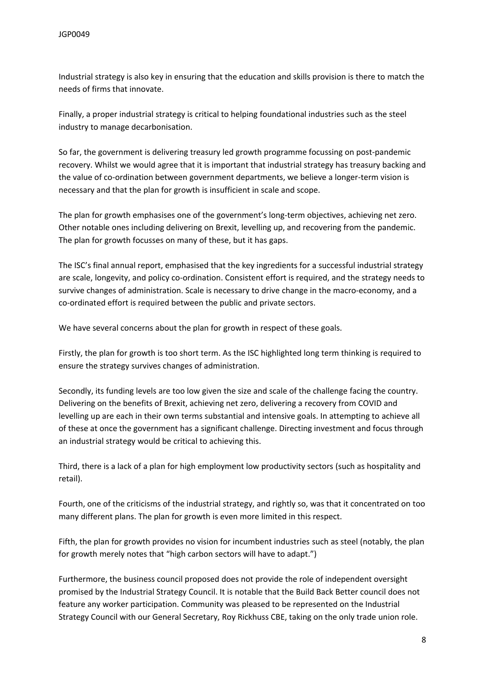Industrial strategy is also key in ensuring that the education and skills provision is there to match the needs of firms that innovate.

Finally, a proper industrial strategy is critical to helping foundational industries such as the steel industry to manage decarbonisation.

So far, the government is delivering treasury led growth programme focussing on post-pandemic recovery. Whilst we would agree that it is important that industrial strategy has treasury backing and the value of co-ordination between government departments, we believe a longer-term vision is necessary and that the plan for growth is insufficient in scale and scope.

The plan for growth emphasises one of the government's long-term objectives, achieving net zero. Other notable ones including delivering on Brexit, levelling up, and recovering from the pandemic. The plan for growth focusses on many of these, but it has gaps.

The ISC's final annual report, emphasised that the key ingredients for a successful industrial strategy are scale, longevity, and policy co-ordination. Consistent effort is required, and the strategy needs to survive changes of administration. Scale is necessary to drive change in the macro-economy, and a co-ordinated effort is required between the public and private sectors.

We have several concerns about the plan for growth in respect of these goals.

Firstly, the plan for growth is too short term. As the ISC highlighted long term thinking is required to ensure the strategy survives changes of administration.

Secondly, its funding levels are too low given the size and scale of the challenge facing the country. Delivering on the benefits of Brexit, achieving net zero, delivering a recovery from COVID and levelling up are each in their own terms substantial and intensive goals. In attempting to achieve all of these at once the government has a significant challenge. Directing investment and focus through an industrial strategy would be critical to achieving this.

Third, there is a lack of a plan for high employment low productivity sectors (such as hospitality and retail).

Fourth, one of the criticisms of the industrial strategy, and rightly so, was that it concentrated on too many different plans. The plan for growth is even more limited in this respect.

Fifth, the plan for growth provides no vision for incumbent industries such as steel (notably, the plan for growth merely notes that "high carbon sectors will have to adapt.")

Furthermore, the business council proposed does not provide the role of independent oversight promised by the Industrial Strategy Council. It is notable that the Build Back Better council does not feature any worker participation. Community was pleased to be represented on the Industrial Strategy Council with our General Secretary, Roy Rickhuss CBE, taking on the only trade union role.